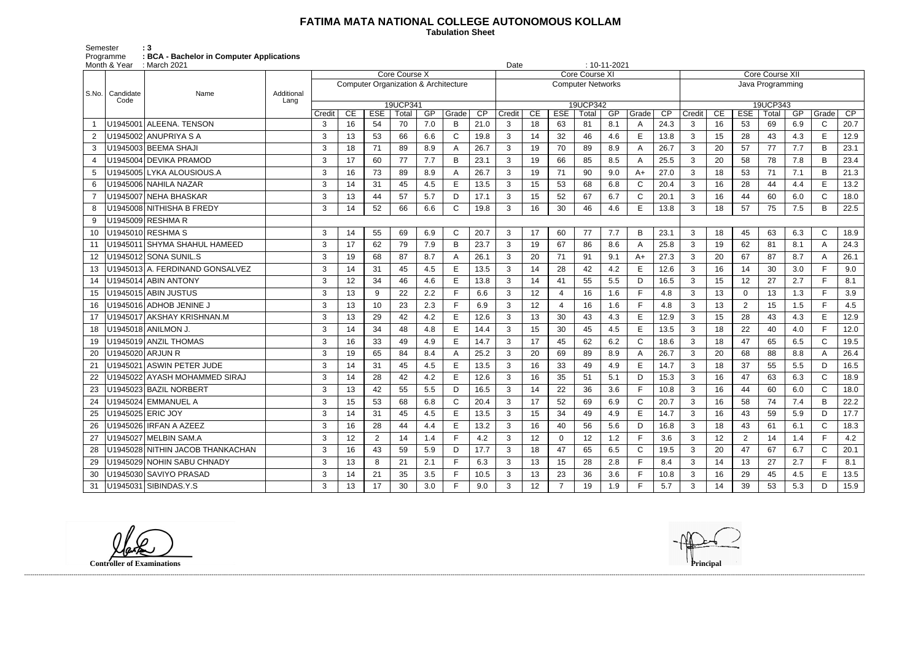## **FATIMA MATA NATIONAL COLLEGE AUTONOMOUS KOLLAM**

 **Tabulation Sheet** 

Semester : 3 Programme **: BCA - Bachelor in Computer Applications**

|        | Month & Year      | $: 10 - 11 - 2021$<br>Date<br>: March 2021          |        |                                                 |                |          |            |              |                 |        |                       |                          |          |            |              |                 |              |          |                        |                  |            |              |                 |  |  |  |
|--------|-------------------|-----------------------------------------------------|--------|-------------------------------------------------|----------------|----------|------------|--------------|-----------------|--------|-----------------------|--------------------------|----------|------------|--------------|-----------------|--------------|----------|------------------------|------------------|------------|--------------|-----------------|--|--|--|
|        |                   |                                                     |        | <b>Core Course X</b>                            |                |          |            |              |                 |        | <b>Core Course XI</b> |                          |          |            |              |                 |              |          | <b>Core Course XII</b> |                  |            |              |                 |  |  |  |
|        |                   |                                                     |        | <b>Computer Organization &amp; Architecture</b> |                |          |            |              |                 |        |                       | <b>Computer Networks</b> |          |            |              |                 |              |          |                        | Java Programming |            |              |                 |  |  |  |
| S.No.  | Candidate<br>Code | Additional<br>Name<br>Lang                          |        |                                                 |                |          |            |              |                 |        |                       |                          |          |            |              |                 |              |          |                        |                  |            |              |                 |  |  |  |
|        |                   |                                                     |        |                                                 |                | 19UCP341 |            |              |                 |        |                       |                          | 19UCP342 |            |              |                 |              |          |                        | 19UCP343         |            |              |                 |  |  |  |
|        |                   |                                                     | Credit | CE                                              | <b>ESE</b>     | Total    | GP         | Grade        | $\overline{CP}$ | Credit | CE                    | <b>ESE</b>               | Total    | GP         | Grade        | $\overline{CP}$ | Credit       | CE       | <b>ESE</b>             | Total            | GP         | Grade        | $\overline{CP}$ |  |  |  |
|        |                   | U1945001 ALEENA. TENSON                             | 3      | 16                                              | 54             | 70       | 7.0        | B            | 21.0            | 3      | 18                    | 63                       | 81       | 8.1        | A            | 24.3            | 3            | 16       | 53                     | 69               | 6.9        | $\mathsf{C}$ | 20.7            |  |  |  |
|        |                   | U1945002 ANUPRIYA S A                               | 3      | 13                                              | 53             | 66       | 6.6        | $\mathsf{C}$ | 19.8            | 3      | 14                    | 32                       | 46       | 4.6        | E            | 13.8            | 3            | 15       | 28                     | 43               | 4.3        | E            | 12.9            |  |  |  |
| 3      |                   | U1945003 BEEMA SHAJI                                | 3      | 18                                              | 71             | 89       | 8.9        | Α            | 26.7            | 3      | 19                    | 70                       | 89       | 8.9        | A            | 26.7            | 3            | 20       | 57                     | 77               | 7.7        | B            | 23.1            |  |  |  |
|        |                   | U1945004 DEVIKA PRAMOD<br>U1945005 LYKA ALOUSIOUS.A | 3<br>3 | 17                                              | 60             | 77       | 7.7        | B            | 23.1            | 3      | 19<br>19              | 66                       | 85<br>90 | 8.5        | A<br>$A+$    | 25.5            | 3<br>3       | 20       | 58                     | 78               | 7.8<br>7.1 | B<br>B       | 23.4            |  |  |  |
| 5<br>6 |                   | U1945006 NAHILA NAZAR                               | 3      | 16<br>14                                        | 73<br>31       | 89<br>45 | 8.9<br>4.5 | E            | 26.7<br>13.5    | 3<br>3 | 15                    | 71<br>53                 | 68       | 9.0<br>6.8 | $\mathsf{C}$ | 27.0<br>20.4    | 3            | 18<br>16 | 53<br>28               | 71<br>44         | 4.4        | E            | 21.3<br>13.2    |  |  |  |
|        |                   | U1945007 NEHA BHASKAR                               | 3      | 13                                              | 44             | 57       | 5.7        | D            | 17.1            | 3      | 15                    | 52                       | 67       | 6.7        | $\mathsf C$  | 20.1            | 3            | 16       | 44                     | 60               | 6.0        | $\mathsf C$  | 18.0            |  |  |  |
|        |                   | U1945008 NITHISHA B FREDY                           | 3      | 14                                              | 52             | 66       | 6.6        | $\mathsf{C}$ | 19.8            | 3      | 16                    | 30                       | 46       | 4.6        | E            | 13.8            | 3            | 18       | 57                     | 75               | 7.5        | B            | 22.5            |  |  |  |
|        |                   | U1945009 RESHMA R                                   |        |                                                 |                |          |            |              |                 |        |                       |                          |          |            |              |                 |              |          |                        |                  |            |              |                 |  |  |  |
| 10     |                   | U1945010 RESHMA S                                   | 3      | 14                                              | 55             | 69       | 6.9        | $\mathsf{C}$ | 20.7            | 3      | 17                    | 60                       | 77       | 7.7        | B            | 23.1            | 3            | 18       | 45                     | 63               | 6.3        | $\mathsf{C}$ | 18.9            |  |  |  |
| 11     |                   | U1945011 SHYMA SHAHUL HAMEED                        | 3      | 17                                              | 62             | 79       | 7.9        | B            | 23.7            | 3      | 19                    | 67                       | 86       | 8.6        | A            | 25.8            | 3            | 19       | 62                     | 81               | 8.1        | A            | 24.3            |  |  |  |
| 12     |                   | U1945012 SONA SUNIL.S                               | 3      | 19                                              | 68             | 87       | 8.7        | Α            | 26.1            | 3      | 20                    | 71                       | 91       | 9.1        | $A+$         | 27.3            | 3            | 20       | 67                     | 87               | 8.7        | A            | 26.1            |  |  |  |
| 13     |                   | U1945013 A. FERDINAND GONSALVEZ                     | 3      | 14                                              | 31             | 45       | 4.5        | E            | 13.5            | 3      | 14                    | 28                       | 42       | 4.2        | E            | 12.6            | 3            | 16       | 14                     | 30               | 3.0        | F.           | 9.0             |  |  |  |
| 14     |                   | U1945014 ABIN ANTONY                                | 3      | 12                                              | 34             | 46       | 4.6        | E            | 13.8            | 3      | 14                    | 41                       | 55       | 5.5        | D            | 16.5            | 3            | 15       | 12                     | 27               | 2.7        | F            | 8.1             |  |  |  |
| 15     |                   | U1945015 ABIN JUSTUS                                | 3      | 13                                              | 9              | 22       | 2.2        | Е            | 6.6             | 3      | 12                    |                          | 16       | 1.6        | F            | 4.8             | 3            | 13       | 0                      | 13               | 1.3        | F.           | 3.9             |  |  |  |
| 16     |                   | U1945016 ADHOB JENINE J                             | 3      | 13                                              | 10             | 23       | 2.3        |              | 6.9             | 3      | 12                    | Δ                        | 16       | 1.6        | F            | 4.8             | 3            | 13       | $\overline{2}$         | 15               | 1.5        | F            | 4.5             |  |  |  |
| 17     |                   | U1945017 AKSHAY KRISHNAN.M                          | 3      | 13                                              | 29             | 42       | 4.2        | E            | 12.6            | 3      | 13                    | 30                       | 43       | 4.3        | E            | 12.9            | 3            | 15       | 28                     | 43               | 4.3        | E            | 12.9            |  |  |  |
| 18     |                   | U1945018 ANILMON J                                  | 3      | 14                                              | 34             | 48       | 4.8        | E            | 14.4            | 3      | 15                    | 30                       | 45       | 4.5        | E            | 13.5            | 3            | 18       | 22                     | 40               | 4.0        | F.           | 12.0            |  |  |  |
| 19     |                   | U1945019 ANZIL THOMAS                               | 3      | 16                                              | 33             | 49       | 4.9        | E            | 14.7            | 3      | 17                    | 45                       | 62       | 6.2        | $\mathsf C$  | 18.6            | 3            | 18       | 47                     | 65               | 6.5        | $\mathsf C$  | 19.5            |  |  |  |
| 20     | U1945020 ARJUN R  |                                                     | 3      | 19                                              | 65             | 84       | 8.4        | Α            | 25.2            | 3      | 20                    | 69                       | 89       | 8.9        | A            | 26.7            | 3            | 20       | 68                     | 88               | 8.8        | A            | 26.4            |  |  |  |
| 21     |                   | U1945021 ASWIN PETER JUDE                           | 3      | 14                                              | 31             | 45       | 4.5        | E            | 13.5            | 3      | 16                    | 33                       | 49       | 4.9        | E            | 14.7            | 3            | 18       | 37                     | 55               | 5.5        | D            | 16.5            |  |  |  |
|        |                   | U1945022 AYASH MOHAMMED SIRAJ                       | 3      | 14                                              | 28             | 42       | 4.2        | E            | 12.6            | 3      | 16                    | 35                       | 51       | 5.1        | D            | 15.3            | 3            | 16       | 47                     | 63               | 6.3        | $\mathsf{C}$ | 18.9            |  |  |  |
| 23     |                   | U1945023 BAZIL NORBERT                              | 3      | 13                                              | 42             | 55       | 5.5        | D            | 16.5            | 3      | 14                    | 22                       | 36       | 3.6        | F            | 10.8            | 3            | 16       | 44                     | 60               | 6.0        | $\mathsf{C}$ | 18.0            |  |  |  |
| 24     |                   | U1945024 EMMANUEL A                                 | 3      | 15                                              | 53             | 68       | 6.8        | $\mathsf{C}$ | 20.4            | 3      | 17                    | 52                       | 69       | 6.9        | $\mathsf C$  | 20.7            | 3            | 16       | 58                     | 74               | 7.4        | B            | 22.2            |  |  |  |
| 25     |                   | U1945025 ERIC JOY                                   | 3      | 14                                              | 31             | 45       | 4.5        | Е            | 13.5            | 3      | 15                    | 34                       | 49       | 4.9        | E            | 14.7            | 3            | 16       | 43                     | 59               | 5.9        | D            | 17.7            |  |  |  |
|        |                   | 26   U1945026   IRFAN A AZEEZ                       | 3      | 16                                              | 28             | 44       | 4.4        | E.           | 13.2            | 3      | 16                    | 40                       | 56       | 5.6        | D            | 16.8            | 3            | 18       | 43                     | 61               | 6.1        | $\mathsf{C}$ | 18.3            |  |  |  |
|        |                   | 27   U1945027   MELBIN SAM.A                        | 3      | 12                                              | $\overline{2}$ | 14       | 1.4        | Е            | 4.2             | 3      | 12                    | 0                        | 12       | 1.2        | F            | 3.6             | $\mathbf{3}$ | 12       | $\overline{2}$         | 14               | 1.4        | F.           | 4.2             |  |  |  |
| 28     |                   | U1945028 NITHIN JACOB THANKACHAN                    | 3      | 16                                              | 43             | 59       | 5.9        | D            | 17.7            | 3      | 18                    | 47                       | 65       | 6.5        | C            | 19.5            | 3            | 20       | 47                     | 67               | 6.7        | $\mathsf{C}$ | 20.1            |  |  |  |
| 29     |                   | U1945029 NOHIN SABU CHNADY                          | 3      | 13                                              | 8              | 21       | 2.1        |              | 6.3             | 3      | 13                    | 15                       | 28       | 2.8        | F            | 8.4             | $\mathbf{3}$ | 14       | 13                     | 27               | 2.7        |              | 8.1             |  |  |  |
| 30     |                   | U1945030 SAVIYO PRASAD                              | 3      | 14                                              | 21             | 35       | 3.5        | F.           | 10.5            | 3      | 13                    | 23                       | 36       | 3.6        | F            | 10.8            | 3            | 16       | 29                     | 45               | 4.5        | E.           | 13.5            |  |  |  |
|        |                   | 31   U1945031   SIBINDAS.Y.S                        | 3      | 13                                              | 17             | 30       | 3.0        |              | 9.0             | 3      | 12                    |                          | 19       | 1.9        | F.           | 5.7             | 3            | 14       | 39                     | 53               | 5.3        | D            | 15.9            |  |  |  |

**Controller of Examinations Principal**



------------------------------------------------------------------------------------------------------------------------------------------------------------------------------------------------------------------------------------------------------------------------------------------------------------------------------------------------------------------------------------------------------------------------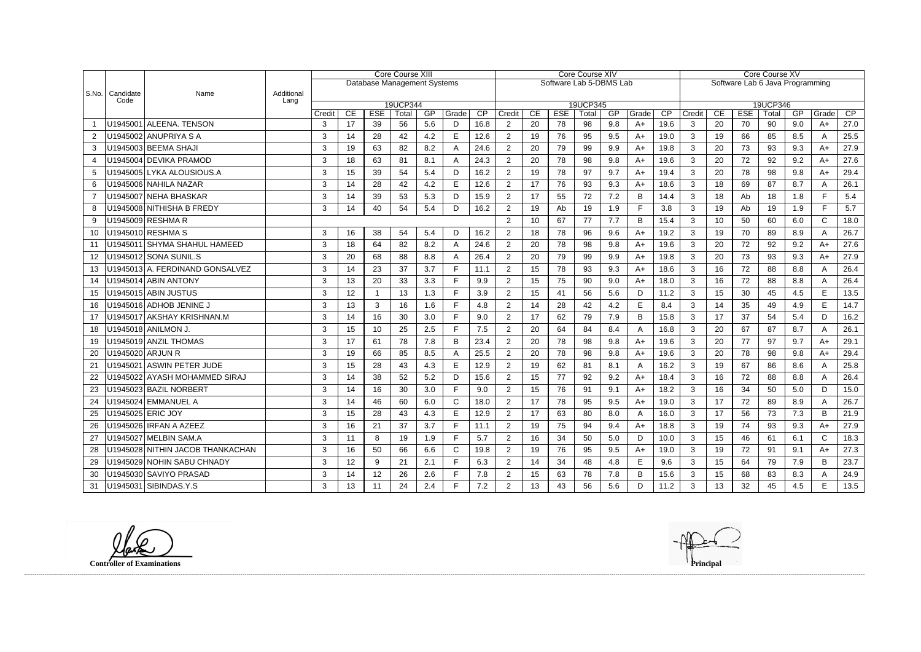|                |                   |                                  |                    | Core Course XIII |                             |                  |             |           |            |            | Core Course XIV          |          |                  |             |           |                |            | Core Course XV                  |          |                  |             |           |              |            |  |
|----------------|-------------------|----------------------------------|--------------------|------------------|-----------------------------|------------------|-------------|-----------|------------|------------|--------------------------|----------|------------------|-------------|-----------|----------------|------------|---------------------------------|----------|------------------|-------------|-----------|--------------|------------|--|
|                |                   |                                  |                    |                  | Database Management Systems |                  |             |           |            |            | Software Lab 5-DBMS Lab  |          |                  |             |           |                |            | Software Lab 6 Java Programming |          |                  |             |           |              |            |  |
| S.No.          | Candidate<br>Code | Name                             | Additional<br>Lang |                  |                             |                  |             |           |            |            |                          |          |                  |             |           |                |            |                                 |          |                  |             |           |              |            |  |
|                |                   |                                  |                    | 19UCP344         |                             |                  |             |           | 19UCP345   |            |                          |          |                  |             |           | 19UCP346       |            |                                 |          |                  |             |           |              |            |  |
|                |                   | U1945001 ALEENA. TENSON          |                    | Credit<br>3      | CE<br>17                    | <b>ESE</b><br>39 | Total<br>56 | GP<br>5.6 | Grade<br>D | CP<br>16.8 | Credit<br>$\overline{2}$ | CE<br>20 | <b>ESE</b><br>78 | Total<br>98 | GP<br>9.8 | Grade<br>$A+$  | CP<br>19.6 | Credit<br>3                     | CE<br>20 | <b>ESE</b><br>70 | Total<br>90 | GP<br>9.0 | Grade<br>A+  | CP<br>27.0 |  |
|                |                   | U1945002 ANUPRIYA S A            |                    |                  |                             |                  | 42          |           | E          |            |                          |          |                  |             |           | $A+$           |            |                                 |          |                  |             |           |              | 25.5       |  |
| $\overline{2}$ |                   | U1945003 BEEMA SHAJI             |                    | 3                | 14                          | 28               |             | 4.2       |            | 12.6       | $\overline{2}$           | 19       | 76               | 95          | 9.5       |                | 19.0       | 3                               | 19       | 66               | 85          | 8.5       | A            |            |  |
| 3              |                   |                                  |                    | 3                | 19                          | 63               | 82          | 8.2       | А          | 24.6       | $\overline{2}$           | 20       | 79               | 99          | 9.9       | $A+$           | 19.8       | 3                               | 20       | 73               | 93          | 9.3       | A+           | 27.9       |  |
|                |                   | U1945004 DEVIKA PRAMOD           |                    | 3                | 18                          | 63               | 81          | 8.1       | А          | 24.3       | $\overline{2}$           | 20       | 78               | 98          | 9.8       | $A+$           | 19.6       | 3                               | 20       | 72               | 92          | 9.2       | A+           | 27.6       |  |
| 5              |                   | U1945005 LYKA ALOUSIOUS.A        |                    | 3                | 15                          | 39               | 54          | 5.4       | D          | 16.2       | 2                        | 19       | 78               | 97          | 9.7       | $A+$           | 19.4       | 3                               | 20       | 78               | 98          | 9.8       | $A+$         | 29.4       |  |
| 6              |                   | U1945006 NAHILA NAZAR            |                    | 3                | 14                          | 28               | 42          | 4.2       | E          | 12.6       | $\overline{2}$           | 17       | 76               | 93          | 9.3       | $A+$           | 18.6       | $\mathbf{3}$                    | 18       | 69               | 87          | 8.7       | A            | 26.1       |  |
|                |                   | U1945007 NEHA BHASKAR            |                    | 3                | 14                          | 39               | 53          | 5.3       | D          | 15.9       | $\overline{2}$           | 17       | 55               | 72          | 7.2       | B              | 14.4       | 3                               | 18       | Ab               | 18          | 1.8       | E            | 5.4        |  |
| 8              |                   | U1945008 NITHISHA B FREDY        |                    | 3                | 14                          | 40               | 54          | 5.4       | D          | 16.2       | $\overline{2}$           | 19       | Ab               | 19          | 1.9       | F              | 3.8        | 3                               | 19       | Ab               | 19          | 1.9       | E            | 5.7        |  |
| 9              | U1945009 RESHMA R |                                  |                    |                  |                             |                  |             |           |            |            | 2                        | 10       | 67               | 77          | 7.7       | B              | 15.4       | 3                               | 10       | 50               | 60          | 6.0       | $\mathsf{C}$ | 18.0       |  |
| 10             |                   | U1945010 RESHMA S                |                    | 3                | 16                          | 38               | 54          | 5.4       | D          | 16.2       | 2                        | 18       | 78               | 96          | 9.6       | $A+$           | 19.2       | 3                               | 19       | 70               | 89          | 8.9       | A            | 26.7       |  |
| 11             |                   | U1945011 SHYMA SHAHUL HAMEED     |                    | 3                | 18                          | 64               | 82          | 8.2       | A          | 24.6       | $\overline{2}$           | 20       | 78               | 98          | 9.8       | $A+$           | 19.6       | 3                               | 20       | 72               | 92          | 9.2       | $A+$         | 27.6       |  |
| 12             |                   | J1945012 SONA SUNIL.S            |                    | 3                | 20                          | 68               | 88          | 8.8       | A          | 26.4       | $\overline{2}$           | 20       | 79               | 99          | 9.9       | $A+$           | 19.8       | 3                               | 20       | 73               | 93          | 9.3       | $A+$         | 27.9       |  |
| 13             |                   | U1945013 A. FERDINAND GONSALVEZ  |                    | 3                | 14                          | 23               | 37          | 3.7       | Е          | 11.1       | $\overline{2}$           | 15       | 78               | 93          | 9.3       | $A+$           | 18.6       | 3                               | 16       | 72               | 88          | 8.8       | A            | 26.4       |  |
| 14             |                   | U1945014 ABIN ANTONY             |                    | 3                | 13                          | 20               | 33          | 3.3       | F.         | 9.9        | $\overline{2}$           | 15       | 75               | 90          | 9.0       | $A+$           | 18.0       | 3                               | 16       | 72               | 88          | 8.8       | A            | 26.4       |  |
| 15             |                   | U1945015 ABIN JUSTUS             |                    | 3                | 12                          |                  | 13          | 1.3       | Е          | 3.9        | 2                        | 15       | 41               | 56          | 5.6       | D              | 11.2       | 3                               | 15       | 30               | 45          | 4.5       | Е            | 13.5       |  |
| 16             |                   | U1945016 ADHOB JENINE J          |                    | 3                | 13                          | 3                | 16          | 1.6       | E          | 4.8        | $\overline{2}$           | 14       | 28               | 42          | 4.2       | E              | 8.4        | $\mathbf{3}$                    | 14       | 35               | 49          | 4.9       | E            | 14.7       |  |
| 17             |                   | U1945017 AKSHAY KRISHNAN.M       |                    | 3                | 14                          | 16               | 30          | 3.0       | F          | 9.0        | $\overline{2}$           | 17       | 62               | 79          | 7.9       | B              | 15.8       | 3                               | 17       | 37               | 54          | 5.4       | D            | 16.2       |  |
| 18             |                   | U1945018 ANILMON J.              |                    | 3                | 15                          | 10 <sup>1</sup>  | 25          | 2.5       | Е          | 7.5        | $\overline{2}$           | 20       | 64               | 84          | 8.4       | Α              | 16.8       | 3                               | 20       | 67               | 87          | 8.7       | A            | 26.1       |  |
| 19             |                   | U1945019 ANZIL THOMAS            |                    | 3                | 17                          | 61               | 78          | 7.8       | B          | 23.4       | $\overline{2}$           | 20       | 78               | 98          | 9.8       | $A+$           | 19.6       | 3                               | 20       | 77               | 97          | 9.7       | A+           | 29.1       |  |
| 20             |                   | U1945020 ARJUN R                 |                    | 3                | 19                          | 66               | 85          | 8.5       | А          | 25.5       | $\overline{2}$           | 20       | 78               | 98          | 9.8       | $A+$           | 19.6       | 3                               | 20       | 78               | 98          | 9.8       | A+           | 29.4       |  |
| 21             |                   | U1945021 ASWIN PETER JUDE        |                    | 3                | 15                          | 28               | 43          | 4.3       | E          | 12.9       | $\overline{2}$           | 19       | 62               | 81          | 8.1       | $\overline{A}$ | 16.2       | $\mathbf{3}$                    | 19       | 67               | 86          | 8.6       | A            | 25.8       |  |
| 22             |                   | J1945022 AYASH MOHAMMED SIRAJ    |                    | 3                | 14                          | 38               | 52          | 5.2       | D          | 15.6       | $\overline{2}$           | 15       | 77               | 92          | 9.2       | $A+$           | 18.4       | 3                               | 16       | 72               | 88          | 8.8       | A            | 26.4       |  |
| 23             |                   | U1945023 BAZIL NORBERT           |                    | 3                | 14                          | 16               | 30          | 3.0       | Е          | 9.0        | $\overline{2}$           | 15       | 76               | 91          | 9.1       | $A+$           | 18.2       | 3                               | 16       | 34               | 50          | 5.0       | D            | 15.0       |  |
| 24             |                   | U1945024 EMMANUEL A              |                    | 3                | 14                          | 46               | 60          | 6.0       | C          | 18.0       | $\overline{2}$           | 17       | 78               | 95          | 9.5       | $A+$           | 19.0       | 3                               | 17       | 72               | 89          | 8.9       | A            | 26.7       |  |
| 25             |                   | U1945025 ERIC JOY                |                    | $\mathcal{R}$    | 15                          | 28               | 43          | 4.3       | E          | 12.9       | $\mathcal{D}$            | 17       | 63               | 80          | 8.0       | Δ              | 16.0       | $\mathcal{R}$                   | 17       | 56               | 73          | 7.3       | <sub>B</sub> | 21.9       |  |
| 26             |                   | U1945026 IRFAN A AZEEZ           |                    | 3                | 16                          | 21               | 37          | 3.7       | F          | 11.1       | $\overline{2}$           | 19       | 75               | 94          | 9.4       | $A+$           | 18.8       | 3                               | 19       | 74               | 93          | 9.3       | A+           | 27.9       |  |
| 27             |                   | U1945027 MELBIN SAM.A            |                    | 3                | 11                          | 8                | 19          | 1.9       | F          | 5.7        | $\overline{2}$           | 16       | 34               | 50          | 5.0       | D              | 10.0       | $\mathbf{3}$                    | 15       | 46               | 61          | 6.1       | $\mathsf{C}$ | 18.3       |  |
| 28             |                   | U1945028 NITHIN JACOB THANKACHAN |                    | 3                | 16                          | 50               | 66          | 6.6       | C          | 19.8       | $\overline{2}$           | 19       | 76               | 95          | 9.5       | A+             | 19.0       | 3                               | 19       | 72               | 91          | 9.1       | A+           | 27.3       |  |
| 29             |                   | U1945029 NOHIN SABU CHNADY       |                    | 3                | 12                          | 9                | 21          | 2.1       | F          | 6.3        | $2^{\circ}$              | 14       | 34               | 48          | 4.8       | E.             | 9.6        | 3                               | 15       | 64               | 79          | 7.9       | B            | 23.7       |  |
| 30             |                   | U1945030 SAVIYO PRASAD           |                    | 3                | 14                          | 12               | 26          | 2.6       |            | 7.8        | $\overline{2}$           | 15       | 63               | 78          | 7.8       | B              | 15.6       | 3                               | 15       | 68               | 83          | 8.3       | A            | 24.9       |  |
| 31             |                   | U1945031 SIBINDAS.Y.S            |                    | 3                | 13                          | 11               | 24          | 2.4       | F.         | 7.2        | $\overline{2}$           | 13       | 43               | 56          | 5.6       | D              | 11.2       | $\mathbf{3}$                    | 13       | 32               | 45          | 4.5       | E            | 13.5       |  |

**Controller of Examinations Principal**



------------------------------------------------------------------------------------------------------------------------------------------------------------------------------------------------------------------------------------------------------------------------------------------------------------------------------------------------------------------------------------------------------------------------